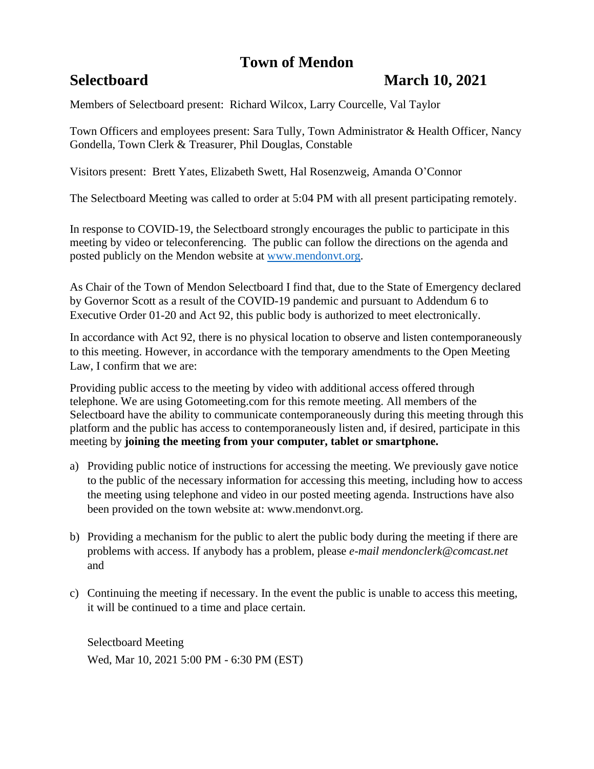# **Town of Mendon**

# **Selectboard March 10, 2021**

Members of Selectboard present: Richard Wilcox, Larry Courcelle, Val Taylor

Town Officers and employees present: Sara Tully, Town Administrator & Health Officer, Nancy Gondella, Town Clerk & Treasurer, Phil Douglas, Constable

Visitors present: Brett Yates, Elizabeth Swett, Hal Rosenzweig, Amanda O'Connor

The Selectboard Meeting was called to order at 5:04 PM with all present participating remotely.

In response to COVID-19, the Selectboard strongly encourages the public to participate in this meeting by video or teleconferencing. The public can follow the directions on the agenda and posted publicly on the Mendon website at [www.mendonvt.org.](http://www.mendonvt.org/)

As Chair of the Town of Mendon Selectboard I find that, due to the State of Emergency declared by Governor Scott as a result of the COVID-19 pandemic and pursuant to Addendum 6 to Executive Order 01-20 and Act 92, this public body is authorized to meet electronically.

In accordance with Act 92, there is no physical location to observe and listen contemporaneously to this meeting. However, in accordance with the temporary amendments to the Open Meeting Law, I confirm that we are:

Providing public access to the meeting by video with additional access offered through telephone. We are using Gotomeeting.com for this remote meeting. All members of the Selectboard have the ability to communicate contemporaneously during this meeting through this platform and the public has access to contemporaneously listen and, if desired, participate in this meeting by **joining the meeting from your computer, tablet or smartphone.** 

- a) Providing public notice of instructions for accessing the meeting. We previously gave notice to the public of the necessary information for accessing this meeting, including how to access the meeting using telephone and video in our posted meeting agenda. Instructions have also been provided on the town website at: www.mendonvt.org.
- b) Providing a mechanism for the public to alert the public body during the meeting if there are problems with access. If anybody has a problem, please *e-mail mendonclerk@comcast.net* and
- c) Continuing the meeting if necessary. In the event the public is unable to access this meeting, it will be continued to a time and place certain.

Selectboard Meeting Wed, Mar 10, 2021 5:00 PM - 6:30 PM (EST)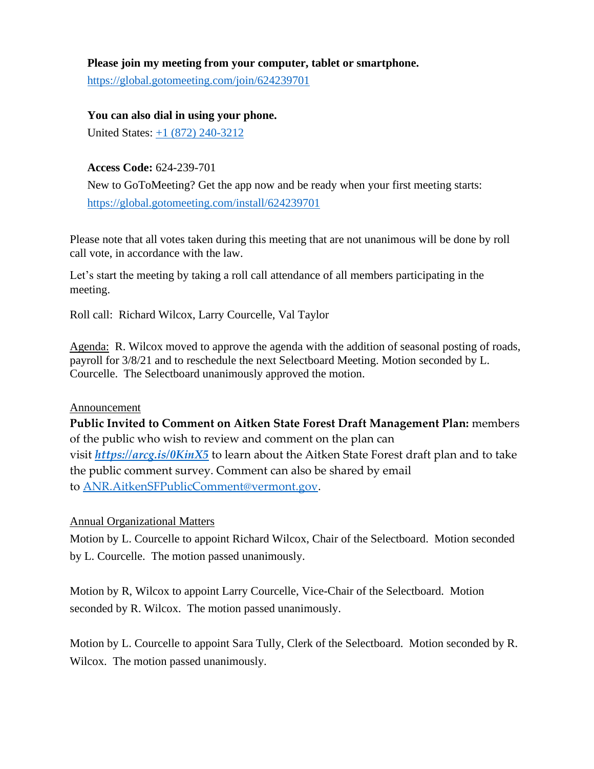### **Please join my meeting from your computer, tablet or smartphone.**

<https://global.gotomeeting.com/join/624239701>

**You can also dial in using your phone.** United States: [+1 \(872\) 240-3212](tel:+18722403212,,624239701)

**Access Code:** 624-239-701

New to GoToMeeting? Get the app now and be ready when your first meeting starts: <https://global.gotomeeting.com/install/624239701>

Please note that all votes taken during this meeting that are not unanimous will be done by roll call vote, in accordance with the law.

Let's start the meeting by taking a roll call attendance of all members participating in the meeting.

Roll call: Richard Wilcox, Larry Courcelle, Val Taylor

Agenda: R. Wilcox moved to approve the agenda with the addition of seasonal posting of roads, payroll for 3/8/21 and to reschedule the next Selectboard Meeting. Motion seconded by L. Courcelle. The Selectboard unanimously approved the motion.

#### Announcement

**Public Invited to Comment on Aitken State Forest Draft Management Plan:** members of the public who wish to review and comment on the plan can visit *<https://arcg.is/0KinX5>* to learn about the Aitken State Forest draft plan and to take the public comment survey. Comment can also be shared by email to [ANR.AitkenSFPublicComment@vermont.gov.](mailto:ANR.AitkenSFPublicComment@vermont.gov)

## Annual Organizational Matters

Motion by L. Courcelle to appoint Richard Wilcox, Chair of the Selectboard. Motion seconded by L. Courcelle. The motion passed unanimously.

Motion by R, Wilcox to appoint Larry Courcelle, Vice-Chair of the Selectboard. Motion seconded by R. Wilcox. The motion passed unanimously.

Motion by L. Courcelle to appoint Sara Tully, Clerk of the Selectboard. Motion seconded by R. Wilcox. The motion passed unanimously.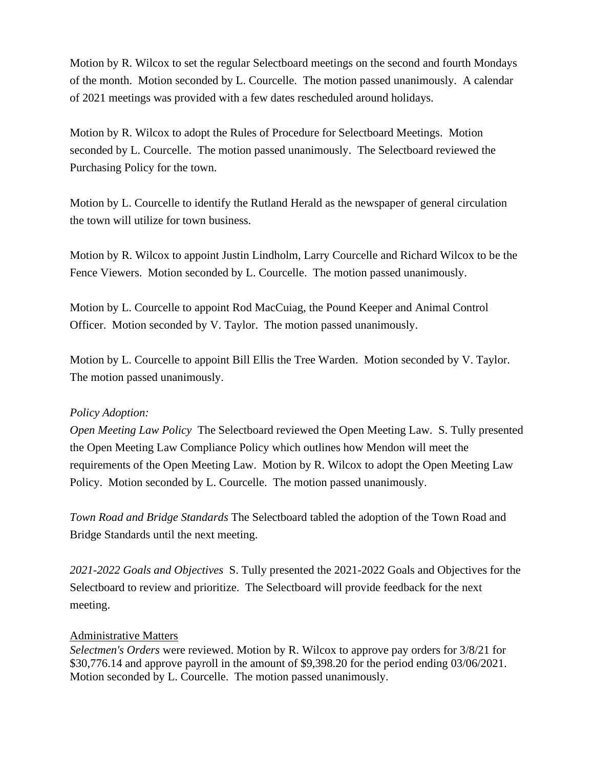Motion by R. Wilcox to set the regular Selectboard meetings on the second and fourth Mondays of the month. Motion seconded by L. Courcelle. The motion passed unanimously. A calendar of 2021 meetings was provided with a few dates rescheduled around holidays.

Motion by R. Wilcox to adopt the Rules of Procedure for Selectboard Meetings. Motion seconded by L. Courcelle. The motion passed unanimously. The Selectboard reviewed the Purchasing Policy for the town.

Motion by L. Courcelle to identify the Rutland Herald as the newspaper of general circulation the town will utilize for town business.

Motion by R. Wilcox to appoint Justin Lindholm, Larry Courcelle and Richard Wilcox to be the Fence Viewers. Motion seconded by L. Courcelle. The motion passed unanimously.

Motion by L. Courcelle to appoint Rod MacCuiag, the Pound Keeper and Animal Control Officer. Motion seconded by V. Taylor. The motion passed unanimously.

Motion by L. Courcelle to appoint Bill Ellis the Tree Warden. Motion seconded by V. Taylor. The motion passed unanimously.

#### *Policy Adoption:*

*Open Meeting Law Policy* The Selectboard reviewed the Open Meeting Law. S. Tully presented the Open Meeting Law Compliance Policy which outlines how Mendon will meet the requirements of the Open Meeting Law. Motion by R. Wilcox to adopt the Open Meeting Law Policy. Motion seconded by L. Courcelle. The motion passed unanimously.

*Town Road and Bridge Standards* The Selectboard tabled the adoption of the Town Road and Bridge Standards until the next meeting.

*2021-2022 Goals and Objectives* S. Tully presented the 2021-2022 Goals and Objectives for the Selectboard to review and prioritize. The Selectboard will provide feedback for the next meeting.

#### Administrative Matters

*Selectmen's Orders* were reviewed. Motion by R. Wilcox to approve pay orders for 3/8/21 for \$30,776.14 and approve payroll in the amount of \$9,398.20 for the period ending 03/06/2021. Motion seconded by L. Courcelle. The motion passed unanimously.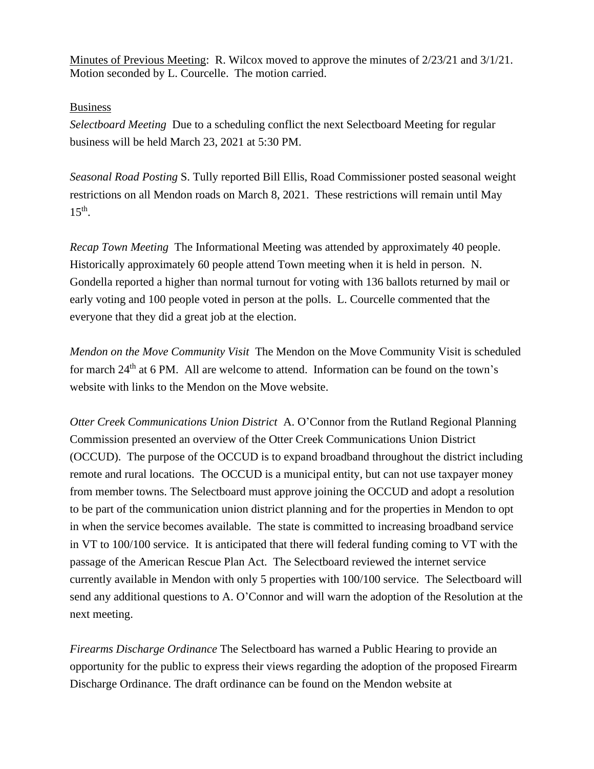Minutes of Previous Meeting: R. Wilcox moved to approve the minutes of 2/23/21 and 3/1/21. Motion seconded by L. Courcelle. The motion carried.

## Business

*Selectboard Meeting* Due to a scheduling conflict the next Selectboard Meeting for regular business will be held March 23, 2021 at 5:30 PM.

*Seasonal Road Posting* S. Tully reported Bill Ellis, Road Commissioner posted seasonal weight restrictions on all Mendon roads on March 8, 2021. These restrictions will remain until May  $15<sup>th</sup>$ .

*Recap Town Meeting* The Informational Meeting was attended by approximately 40 people. Historically approximately 60 people attend Town meeting when it is held in person. N. Gondella reported a higher than normal turnout for voting with 136 ballots returned by mail or early voting and 100 people voted in person at the polls. L. Courcelle commented that the everyone that they did a great job at the election.

*Mendon on the Move Community Visit* The Mendon on the Move Community Visit is scheduled for march 24<sup>th</sup> at 6 PM. All are welcome to attend. Information can be found on the town's website with links to the Mendon on the Move website.

*Otter Creek Communications Union District* A. O'Connor from the Rutland Regional Planning Commission presented an overview of the Otter Creek Communications Union District (OCCUD). The purpose of the OCCUD is to expand broadband throughout the district including remote and rural locations. The OCCUD is a municipal entity, but can not use taxpayer money from member towns. The Selectboard must approve joining the OCCUD and adopt a resolution to be part of the communication union district planning and for the properties in Mendon to opt in when the service becomes available. The state is committed to increasing broadband service in VT to 100/100 service. It is anticipated that there will federal funding coming to VT with the passage of the American Rescue Plan Act. The Selectboard reviewed the internet service currently available in Mendon with only 5 properties with 100/100 service. The Selectboard will send any additional questions to A. O'Connor and will warn the adoption of the Resolution at the next meeting.

*Firearms Discharge Ordinance* The Selectboard has warned a Public Hearing to provide an opportunity for the public to express their views regarding the adoption of the proposed Firearm Discharge Ordinance. The draft ordinance can be found on the Mendon website at